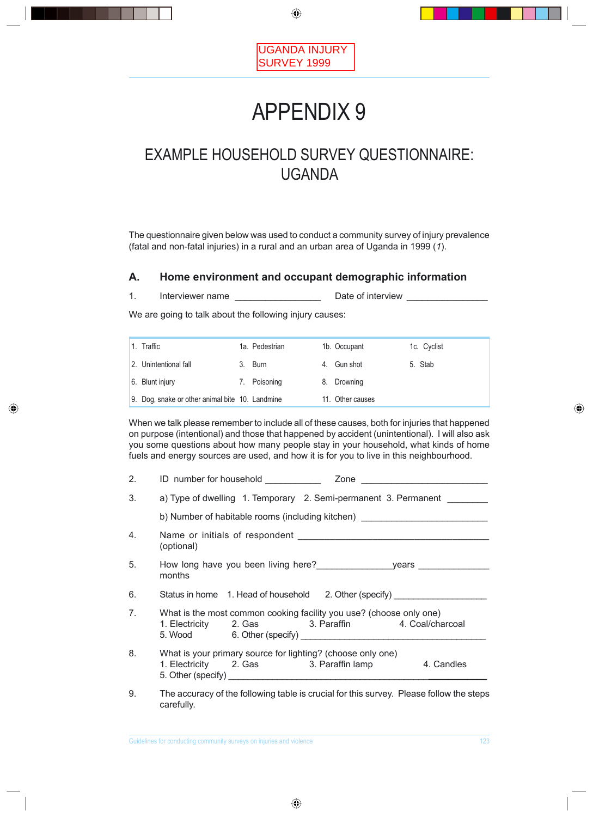

# APPENDIX 9

# EXAMPLE HOUSEHOLD SURVEY QUESTIONNAIRE: UGANDA

The questionnaire given below was used to conduct a community survey of injury prevalence (fatal and non-fatal injuries) in a rural and an urban area of Uganda in 1999 (*1*).

### **A. Home environment and occupant demographic information**

1. Interviewer name \_\_\_\_\_\_\_\_\_\_\_\_\_\_\_\_\_\_\_\_\_\_ Date of interview \_\_\_\_\_\_\_\_\_\_\_\_\_

We are going to talk about the following injury causes:

| 1. Traffic                                      | 1a. Pedestrian | 1b. Occupant     |         | 1c. Cyclist |
|-------------------------------------------------|----------------|------------------|---------|-------------|
| 2. Unintentional fall                           | 3. Burn        | Gun shot         | 5. Stab |             |
| 6. Blunt injury                                 | 7. Poisoning   | 8. Drowning      |         |             |
| 9. Dog, snake or other animal bite 10. Landmine |                | 11. Other causes |         |             |

When we talk please remember to include all of these causes, both for injuries that happened on purpose (intentional) and those that happened by accident (unintentional). I will also ask you some questions about how many people stay in your household, what kinds of home fuels and energy sources are used, and how it is for you to live in this neighbourhood.

| 2.             | ID number for household ___________<br>Zone<br><u> 1989 - Johann Barbara, martin amerikan ba</u>                          |
|----------------|---------------------------------------------------------------------------------------------------------------------------|
| 3.             | a) Type of dwelling 1. Temporary 2. Semi-permanent 3. Permanent ________                                                  |
|                | b) Number of habitable rooms (including kitchen) _______________________________                                          |
| 4.             | (optional)                                                                                                                |
| 5.             | months                                                                                                                    |
| 6.             | Status in home 1. Head of household 2. Other (specify) __________________                                                 |
| 7 <sub>1</sub> | What is the most common cooking facility you use? (choose only one)<br>1. Electricity 2. Gas 3. Paraffin 4. Coal/charcoal |
| 8.             | What is your primary source for lighting? (choose only one)<br>1. Electricity 2. Gas 3. Paraffin lamp 4. Candles          |
| 9.             | The accuracy of the following table is crucial for this survey. Please follow the steps<br>carefully.                     |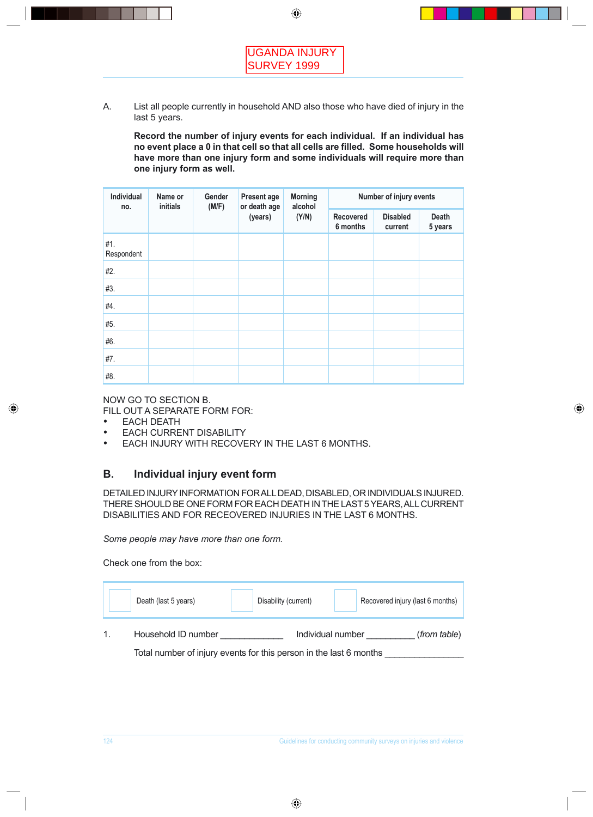A. List all people currently in household AND also those who have died of injury in the last 5 years.

 **Record the number of injury events for each individual. If an individual has no event place a 0 in that cell so that all cells are lled. Some households will have more than one injury form and some individuals will require more than one injury form as well.**

| Individual<br>no. | Name or<br>initials | Gender<br>(M/F) | Present age<br>or death age | <b>Morning</b><br>alcohol |                              | Number of injury events    |                         |
|-------------------|---------------------|-----------------|-----------------------------|---------------------------|------------------------------|----------------------------|-------------------------|
|                   |                     |                 | (years)                     | (Y/N)                     | <b>Recovered</b><br>6 months | <b>Disabled</b><br>current | <b>Death</b><br>5 years |
| #1.<br>Respondent |                     |                 |                             |                           |                              |                            |                         |
| #2.               |                     |                 |                             |                           |                              |                            |                         |
| #3.               |                     |                 |                             |                           |                              |                            |                         |
| #4.               |                     |                 |                             |                           |                              |                            |                         |
| #5.               |                     |                 |                             |                           |                              |                            |                         |
| #6.               |                     |                 |                             |                           |                              |                            |                         |
| #7.               |                     |                 |                             |                           |                              |                            |                         |
| #8.               |                     |                 |                             |                           |                              |                            |                         |

NOW GO TO SECTION B.

FILL OUT A SEPARATE FORM FOR:

- EACH DEATH
- **EACH CURRENT DISABILITY**
- EACH INJURY WITH RECOVERY IN THE LAST 6 MONTHS.

# **B. Individual injury event form**

DETAILED INJURY INFORMATION FOR ALL DEAD, DISABLED, OR INDIVIDUALS INJURED. THERE SHOULD BE ONE FORM FOR EACH DEATH IN THE LAST 5 YEARS, ALL CURRENT DISABILITIES AND FOR RECEOVERED INJURIES IN THE LAST 6 MONTHS.

*Some people may have more than one form.*

Check one from the box:

| Death (last 5 years) | Disability (current)                                               | Recovered injury (last 6 months) |
|----------------------|--------------------------------------------------------------------|----------------------------------|
| Household ID number  | Individual number                                                  | (from table)                     |
|                      | Total number of injury events for this person in the last 6 months |                                  |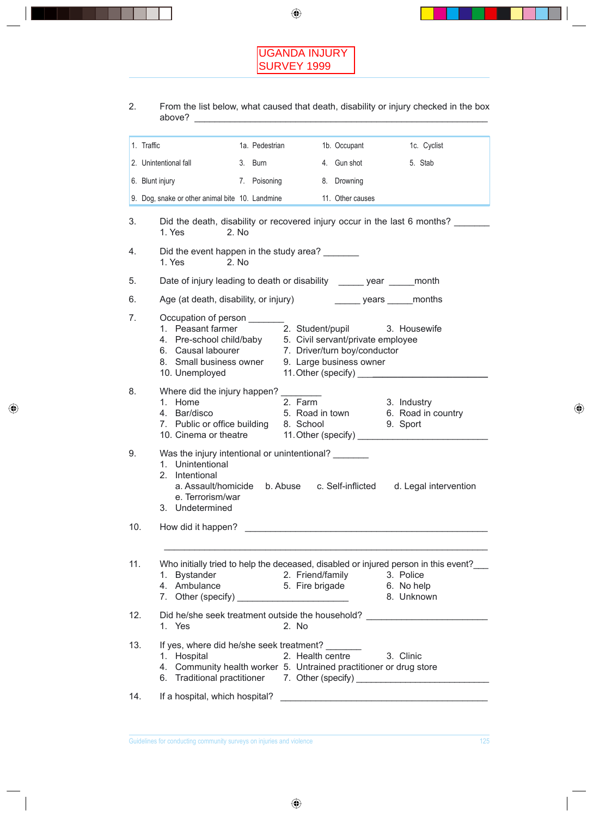

2. From the list below, what caused that death, disability or injury checked in the box above? \_\_\_\_\_\_\_\_\_\_\_\_\_\_\_\_\_\_\_\_\_\_\_\_\_\_\_\_\_\_\_\_\_\_\_\_\_\_\_\_\_\_\_\_\_\_\_\_\_\_\_\_\_\_\_\_\_\_

|     | 1. Traffic                                                                                                                                                                                                                      | 1a. Pedestrian                | 1b. Occupant     |                                                                                                                        | 1c. Cyclist                        |
|-----|---------------------------------------------------------------------------------------------------------------------------------------------------------------------------------------------------------------------------------|-------------------------------|------------------|------------------------------------------------------------------------------------------------------------------------|------------------------------------|
|     | 2. Unintentional fall<br>3. Burn                                                                                                                                                                                                |                               | 4. Gun shot      |                                                                                                                        | 5. Stab                            |
|     | 6. Blunt injury<br>7. Poisoning                                                                                                                                                                                                 |                               | 8. Drowning      |                                                                                                                        |                                    |
|     | 9. Dog, snake or other animal bite 10. Landmine                                                                                                                                                                                 |                               | 11. Other causes |                                                                                                                        |                                    |
| 3.  | Did the death, disability or recovered injury occur in the last 6 months?<br>1. Yes<br>2. No                                                                                                                                    |                               |                  |                                                                                                                        |                                    |
| 4.  | Did the event happen in the study area?<br>1. Yes<br>2. No                                                                                                                                                                      |                               |                  |                                                                                                                        |                                    |
| 5.  | Date of injury leading to death or disability ______ year ______ month                                                                                                                                                          |                               |                  |                                                                                                                        |                                    |
| 6.  | Age (at death, disability, or injury) _________ years ______ months                                                                                                                                                             |                               |                  |                                                                                                                        |                                    |
| 7.  | Occupation of person<br>1. Peasant farmer<br>4. Pre-school child/baby 5. Civil servant/private employee<br>6. Causal labourer 7. Driver/turn boy/conductor<br>8. Small business owner 9. Large business owner<br>10. Unemployed | 2. Student/pupil 3. Housewife |                  | 11. Other (specify) <u>______________________</u>                                                                      |                                    |
| 8.  | Where did the injury happen? _<br>1. Home<br>4. Bar/disco<br>7. Public or office building 8. School                                                                                                                             | 2. Farm                       |                  | 3. Industry<br>9. Sport                                                                                                | 5. Road in town 6. Road in country |
| 9.  | Was the injury intentional or unintentional?<br>1. Unintentional<br>2. Intentional<br>a. Assault/homicide b. Abuse c. Self-inflicted d. Legal intervention<br>e. Terrorism/war<br>3. Undetermined                               |                               |                  |                                                                                                                        |                                    |
| 10. | How did it happen?                                                                                                                                                                                                              |                               |                  |                                                                                                                        |                                    |
| 11. | Who initially tried to help the deceased, disabled or injured person in this event?<br>1. Bystander<br>4. Ambulance                                                                                                             | 2. Friend/family              |                  | 3. Police<br>5. Fire brigade 6. No help                                                                                | 8. Unknown                         |
| 12. | Did he/she seek treatment outside the household?<br>1. Yes                                                                                                                                                                      | 2. No                         |                  |                                                                                                                        |                                    |
| 13. | If yes, where did he/she seek treatment?<br>1. Hospital<br>4. Community health worker 5. Untrained practitioner or drug store<br>6. Traditional practitioner 7. Other (specify) _________________________________               |                               | 2. Health centre | 3. Clinic                                                                                                              |                                    |
| 14. | If a hospital, which hospital?                                                                                                                                                                                                  |                               |                  | <u> 2000 - Jan Barnett, mars eta bainar eta bainar eta baina eta baina eta baina eta baina eta baina eta baina eta</u> |                                    |
|     |                                                                                                                                                                                                                                 |                               |                  |                                                                                                                        |                                    |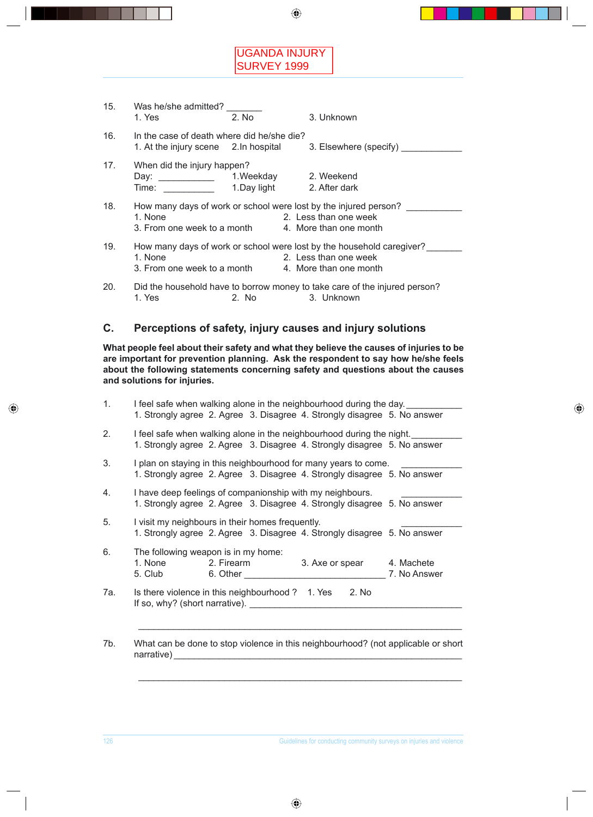# UGANDA INJURY SURVEY 1999

| 15. | Was he/she admitted?<br>1. Yes                                                      | 2. No       | 3. Unknown                                                                                                          |
|-----|-------------------------------------------------------------------------------------|-------------|---------------------------------------------------------------------------------------------------------------------|
| 16. | In the case of death where did he/she die?<br>1. At the injury scene 2. In hospital |             | 3. Elsewhere (specify)                                                                                              |
| 17. | When did the injury happen?<br>Day: ____________<br>Time:                           | 1.Day light | 1. Weekday 2. Weekend<br>2. After dark                                                                              |
| 18. | 1. None<br>3. From one week to a month                                              |             | How many days of work or school were lost by the injured person?<br>2. Less than one week<br>4. More than one month |
| 19. | 1. None<br>3. From one week to a month 4. More than one month                       |             | How many days of work or school were lost by the household caregiver?<br>2. Less than one week                      |
| 20. | 1. Yes                                                                              | 2. No       | Did the household have to borrow money to take care of the injured person?<br>3. Unknown                            |

### **C. Perceptions of safety, injury causes and injury solutions**

**What people feel about their safety and what they believe the causes of injuries to be are important for prevention planning. Ask the respondent to say how he/she feels about the following statements concerning safety and questions about the causes and solutions for injuries.**

| I feel safe when walking alone in the neighbourhood during the day.<br>1. Strongly agree 2. Agree 3. Disagree 4. Strongly disagree 5. No answer   |
|---------------------------------------------------------------------------------------------------------------------------------------------------|
| I feel safe when walking alone in the neighbourhood during the night.<br>1. Strongly agree 2. Agree 3. Disagree 4. Strongly disagree 5. No answer |
| I plan on staying in this neighbourhood for many years to come.<br>1. Strongly agree 2. Agree 3. Disagree 4. Strongly disagree 5. No answer       |
| I have deep feelings of companionship with my neighbours.<br>1. Strongly agree 2. Agree 3. Disagree 4. Strongly disagree 5. No answer             |
| I visit my neighbours in their homes frequently.<br>1. Strongly agree 2. Agree 3. Disagree 4. Strongly disagree 5. No answer                      |
| The following weapon is in my home:<br>1. None<br>2. Firearm<br>3. Axe or spear<br>4. Machete<br>5. Club<br>6. Other<br>7. No Answer              |
| Is there violence in this neighbourhood ? 1. Yes<br>2. No<br>If so, why? (short narrative).                                                       |

narrative) \_\_\_\_\_\_\_\_\_\_\_\_\_\_\_\_\_\_\_\_\_\_\_\_\_\_\_\_\_\_\_\_\_\_\_\_\_\_\_\_\_\_\_\_\_\_\_\_\_\_\_\_\_\_\_\_\_

\_\_\_\_\_\_\_\_\_\_\_\_\_\_\_\_\_\_\_\_\_\_\_\_\_\_\_\_\_\_\_\_\_\_\_\_\_\_\_\_\_\_\_\_\_\_\_\_\_\_\_\_\_\_\_\_\_\_\_\_\_\_\_\_